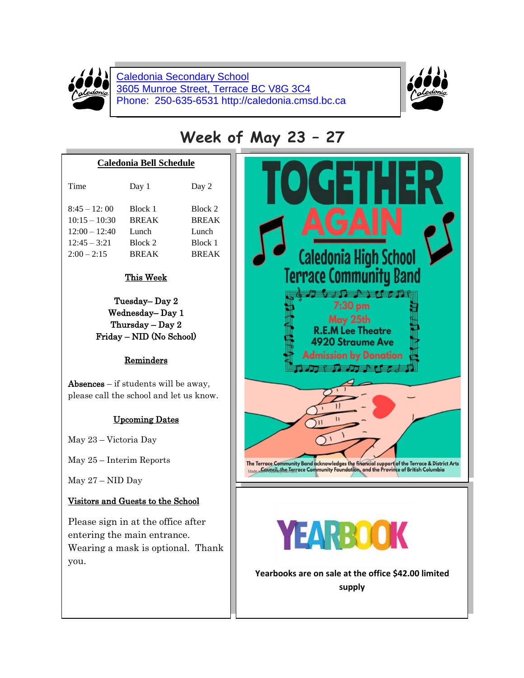

Caledonia Secondary School 3605 Munroe Street, Terrace BC V8G 3C4 Phone: 250-635-6531 http://caledonia.cmsd.bc.ca



# **Week of May 23 – 27**

#### **Caledonia Bell Schedule**

| Time            | Day 1        | Day 2        |
|-----------------|--------------|--------------|
| $8:45 - 12:00$  | Block 1      | Block 2      |
| $10:15 - 10:30$ | <b>BREAK</b> | <b>BREAK</b> |
| $12:00 - 12:40$ | Lunch        | Lunch        |
| $12:45 - 3:21$  | Block 2      | Block 1      |
| $2:00 - 2:15$   | <b>RREAK</b> | <b>BREAK</b> |

### This Week

Tuesday– Day 2 Wednesday– Day 1 Thursday – Day 2 Friday – NID (No School)

### Reminders

Absences  $-$  if students will be away, please call the school and let us know.

# Upcoming Dates

May 23 – Victoria Day

May 25 – Interim Reports

May 27 – NID Day

# Visitors and Guests to the School

Please sign in at the office after entering the main entrance. Wearing a mask is optional. Thank you.

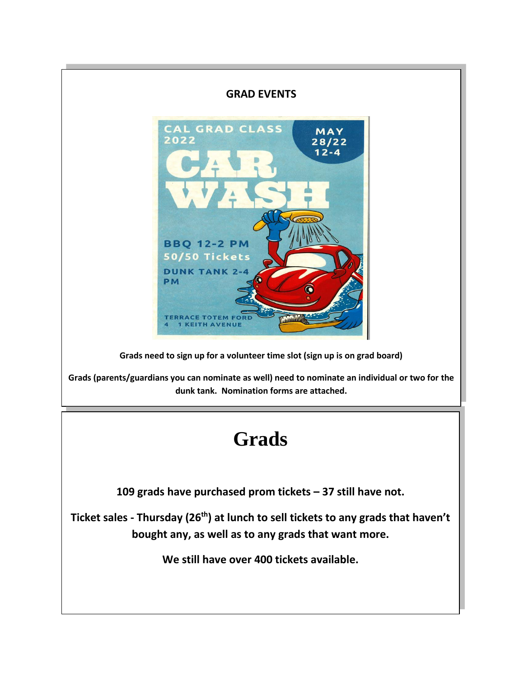## **GRAD EVENTS**



**Grads need to sign up for a volunteer time slot (sign up is on grad board)**

**Grads (parents/guardians you can nominate as well) need to nominate an individual or two for the dunk tank. Nomination forms are attached.**

# **Grads**

**109 grads have purchased prom tickets – 37 still have not.**

**Ticket sales - Thursday (26th) at lunch to sell tickets to any grads that haven't bought any, as well as to any grads that want more.**

**We still have over 400 tickets available.**